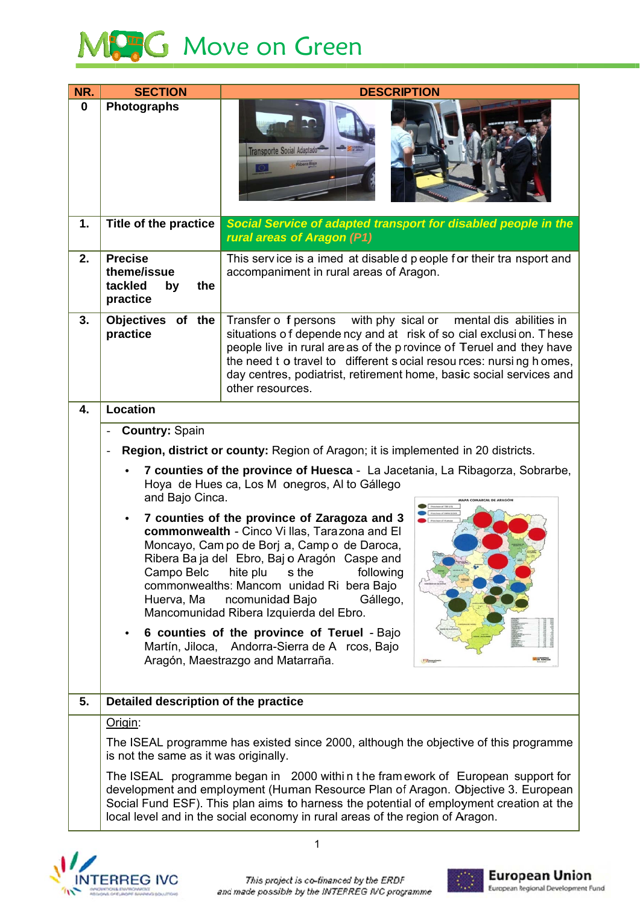

| NR.      | <b>SECTION</b>                                                                                                                                                              | <b>DESCRIPTION</b>                                                                                                                                                                                                                                                                                                                                                                 |  |
|----------|-----------------------------------------------------------------------------------------------------------------------------------------------------------------------------|------------------------------------------------------------------------------------------------------------------------------------------------------------------------------------------------------------------------------------------------------------------------------------------------------------------------------------------------------------------------------------|--|
| $\bf{0}$ | Photographs                                                                                                                                                                 | Transporte Social Adaptado                                                                                                                                                                                                                                                                                                                                                         |  |
| 1.       | Title of the practice                                                                                                                                                       | Social Service of adapted transport for disabled people in the<br>rural areas of Aragon (P1)                                                                                                                                                                                                                                                                                       |  |
| 2.       | <b>Precise</b><br>theme/issue<br>tackled<br>the<br>by<br>practice                                                                                                           | This service is a imed at disabled people for their tra nsport and<br>accompaniment in rural areas of Aragon.                                                                                                                                                                                                                                                                      |  |
| 3.       | <b>Objectives</b><br>of the<br>practice                                                                                                                                     | with phy sical or<br>Transfer o f persons<br>mental dis abilities in<br>situations of depende ncy and at risk of so cial exclusion. These<br>people live in rural areas of the province of Teruel and they have<br>the need t o travel to different s ocial resou rces: nursing h omes,<br>day centres, podiatrist, retirement home, basic social services and<br>other resources. |  |
| 4.       | <b>Location</b>                                                                                                                                                             |                                                                                                                                                                                                                                                                                                                                                                                    |  |
|          | <b>Country: Spain</b>                                                                                                                                                       |                                                                                                                                                                                                                                                                                                                                                                                    |  |
|          |                                                                                                                                                                             | Region, district or county: Region of Aragon; it is implemented in 20 districts.                                                                                                                                                                                                                                                                                                   |  |
|          | 7 counties of the province of Huesca - La Jacetania, La Ribagorza, Sobrarbe,<br>Hoya de Hues ca, Los M onegros, Al to Gállego<br>and Bajo Cinca.<br>MAPA COMARCAL DE ARAGÓN |                                                                                                                                                                                                                                                                                                                                                                                    |  |
|          | ٠<br>Campo Belc<br>Huerva, Ma                                                                                                                                               | nce of TERUE<br>7 counties of the province of Zaragoza and 3<br>commonwealth - Cinco Vi Ilas, Tarazona and El<br>Moncayo, Cam po de Borj a, Camp o de Daroca,<br>Ribera Ba ja del Ebro, Baj o Aragón Caspe and<br>hite plu<br>s the<br>following<br>commonwealths: Mancom unidad Ri bera Bajo<br>ncomunidad Bajo<br>Gállego,<br>Mancomunidad Ribera Izquierda del Ebro.            |  |
|          | $\bullet$                                                                                                                                                                   | 6 counties of the province of Teruel - Bajo<br>Martín, Jiloca, Andorra-Sierra de A rcos, Bajo<br>Aragón, Maestrazgo and Matarraña.<br>$\sqrt{2\pi}$                                                                                                                                                                                                                                |  |
| 5.       | Detailed description of the practice                                                                                                                                        |                                                                                                                                                                                                                                                                                                                                                                                    |  |
|          | Origin:                                                                                                                                                                     |                                                                                                                                                                                                                                                                                                                                                                                    |  |
|          | is not the same as it was originally.                                                                                                                                       | The ISEAL programme has existed since 2000, although the objective of this programme                                                                                                                                                                                                                                                                                               |  |
|          |                                                                                                                                                                             | The ISEAL programme began in 2000 within the fram ework of European support for<br>development and employment (Human Resource Plan of Aragon. Objective 3. European<br>Social Fund ESF). This plan aims to harness the potential of employment creation at the<br>local level and in the social economy in rural areas of the region of Aragon.                                    |  |



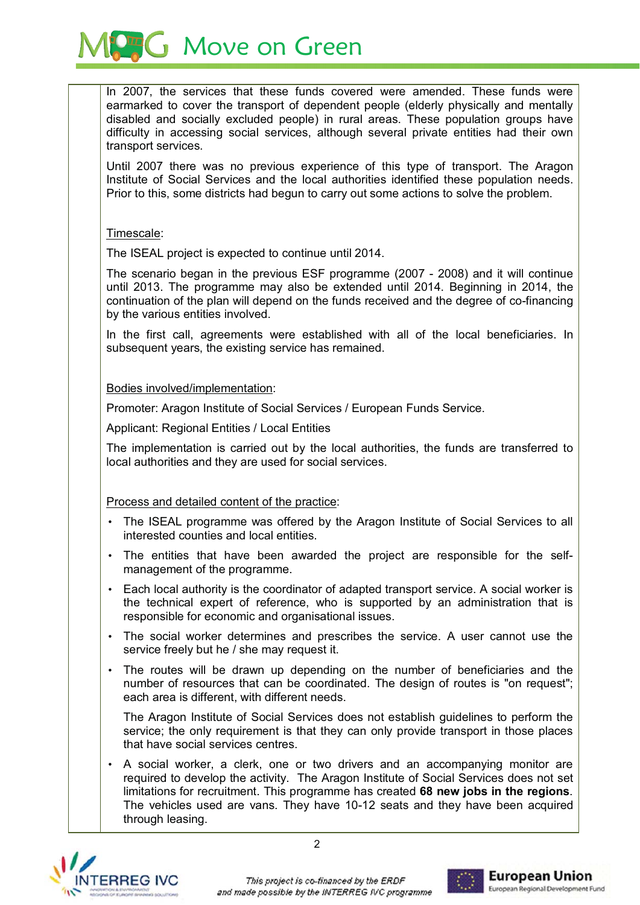**AG** Move on Green

In 2007, the services that these funds covered were amended. These funds were earmarked to cover the transport of dependent people (elderly physically and mentally disabled and socially excluded people) in rural areas. These population groups have difficulty in accessing social services, although several private entities had their own transport services.

Until 2007 there was no previous experience of this type of transport. The Aragon Institute of Social Services and the local authorities identified these population needs. Prior to this, some districts had begun to carry out some actions to solve the problem.

## Timescale:

The ISEAL project is expected to continue until 2014.

The scenario began in the previous ESF programme (2007 - 2008) and it will continue until 2013. The programme may also be extended until 2014. Beginning in 2014, the continuation of the plan will depend on the funds received and the degree of co-financing by the various entities involved.

In the first call, agreements were established with all of the local beneficiaries. In subsequent years, the existing service has remained.

## Bodies involved/implementation:

Promoter: Aragon Institute of Social Services / European Funds Service.

**Applicant: Regional Entities / Local Entities** 

The implementation is carried out by the local authorities, the funds are transferred to local authorities and they are used for social services.

## Process and detailed content of the practice:

- The ISEAL programme was offered by the Aragon Institute of Social Services to all interested counties and local entities.
- The entities that have been awarded the project are responsible for the selfmanagement of the programme.
- Each local authority is the coordinator of adapted transport service. A social worker is the technical expert of reference, who is supported by an administration that is responsible for economic and organisational issues.
- The social worker determines and prescribes the service. A user cannot use the service freely but he / she may request it.
- The routes will be drawn up depending on the number of beneficiaries and the number of resources that can be coordinated. The design of routes is "on request"; each area is different, with different needs.

The Aragon Institute of Social Services does not establish guidelines to perform the service; the only requirement is that they can only provide transport in those places that have social services centres.

A social worker, a clerk, one or two drivers and an accompanying monitor are required to develop the activity. The Aragon Institute of Social Services does not set limitations for recruitment. This programme has created 68 new jobs in the regions. The vehicles used are vans. They have 10-12 seats and they have been acquired through leasing.



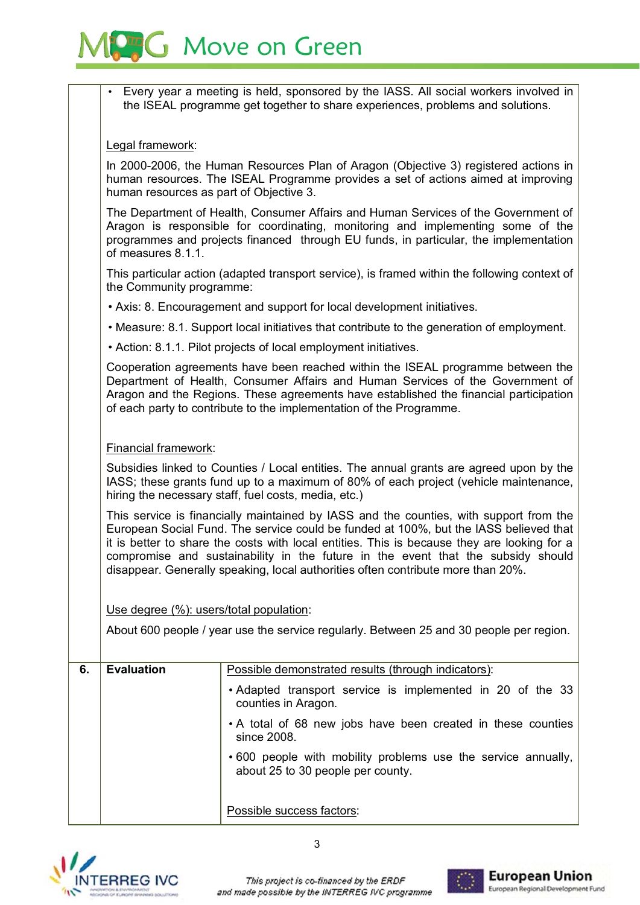

Every year a meeting is held, sponsored by the IASS. All social workers involved in the ISEAL programme get together to share experiences, problems and solutions.

Legal framework:

In 2000-2006, the Human Resources Plan of Aragon (Objective 3) registered actions in human resources. The ISEAL Programme provides a set of actions aimed at improving human resources as part of Objective 3.

The Department of Health, Consumer Affairs and Human Services of the Government of Aragon is responsible for coordinating, monitoring and implementing some of the programmes and projects financed through EU funds, in particular, the implementation of measures 8.1.1.

This particular action (adapted transport service), is framed within the following context of the Community programme:

• Axis: 8. Encouragement and support for local development initiatives.

• Measure: 8.1. Support local initiatives that contribute to the generation of employment.

• Action: 8.1.1. Pilot projects of local employment initiatives.

Cooperation agreements have been reached within the ISEAL programme between the Department of Health, Consumer Affairs and Human Services of the Government of Aragon and the Regions. These agreements have established the financial participation of each party to contribute to the implementation of the Programme.

Financial framework:

Subsidies linked to Counties / Local entities. The annual grants are agreed upon by the IASS; these grants fund up to a maximum of 80% of each project (vehicle maintenance, hiring the necessary staff, fuel costs, media, etc.)

This service is financially maintained by IASS and the counties, with support from the European Social Fund. The service could be funded at 100%, but the IASS believed that it is better to share the costs with local entities. This is because they are looking for a compromise and sustainability in the future in the event that the subsidy should disappear. Generally speaking, local authorities often contribute more than 20%.

Use degree (%): users/total population:

About 600 people / year use the service regularly. Between 25 and 30 people per region.

| 6. | <b>Evaluation</b> | Possible demonstrated results (through indicators):                                               |
|----|-------------------|---------------------------------------------------------------------------------------------------|
|    |                   | • Adapted transport service is implemented in 20 of the 33<br>counties in Aragon.                 |
|    |                   | • A total of 68 new jobs have been created in these counties<br>since 2008.                       |
|    |                   | •600 people with mobility problems use the service annually,<br>about 25 to 30 people per county. |
|    |                   | Possible success factors:                                                                         |